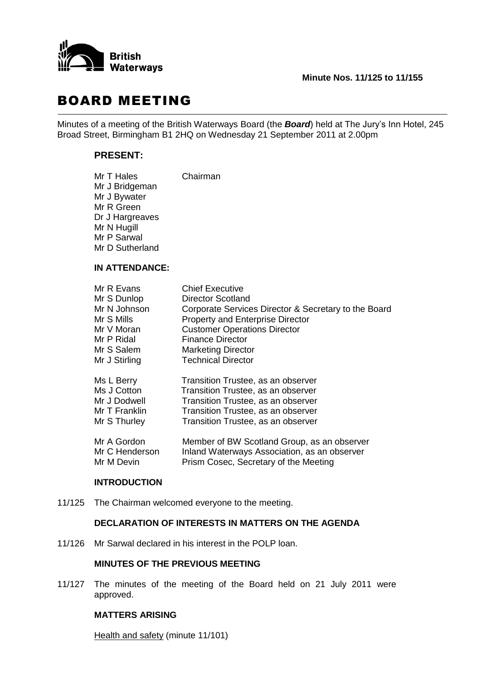

# BOARD MEETING

Minutes of a meeting of the British Waterways Board (the *Board*) held at The Jury's Inn Hotel, 245 Broad Street, Birmingham B1 2HQ on Wednesday 21 September 2011 at 2.00pm

# **PRESENT:**

| Mr T Hales      | Chairman |
|-----------------|----------|
| Mr J Bridgeman  |          |
| Mr J Bywater    |          |
| Mr R Green      |          |
| Dr J Hargreaves |          |
| Mr N Hugill     |          |
| Mr P Sarwal     |          |
| Mr D Sutherland |          |
|                 |          |
|                 |          |

## **IN ATTENDANCE:**

| Mr R Evans     | <b>Chief Executive</b>                               |
|----------------|------------------------------------------------------|
| Mr S Dunlop    | <b>Director Scotland</b>                             |
| Mr N Johnson   | Corporate Services Director & Secretary to the Board |
| Mr S Mills     | <b>Property and Enterprise Director</b>              |
| Mr V Moran     | <b>Customer Operations Director</b>                  |
| Mr P Ridal     | <b>Finance Director</b>                              |
| Mr S Salem     | <b>Marketing Director</b>                            |
| Mr J Stirling  | <b>Technical Director</b>                            |
| Ms L Berry     | Transition Trustee, as an observer                   |
| Ms J Cotton    | Transition Trustee, as an observer                   |
| Mr J Dodwell   | Transition Trustee, as an observer                   |
| Mr T Franklin  | Transition Trustee, as an observer                   |
| Mr S Thurley   | Transition Trustee, as an observer                   |
| Mr A Gordon    | Member of BW Scotland Group, as an observer          |
| Mr C Henderson | Inland Waterways Association, as an observer         |
| Mr M Devin     | Prism Cosec, Secretary of the Meeting                |

#### **INTRODUCTION**

11/125 The Chairman welcomed everyone to the meeting.

## **DECLARATION OF INTERESTS IN MATTERS ON THE AGENDA**

11/126 Mr Sarwal declared in his interest in the POLP loan.

## **MINUTES OF THE PREVIOUS MEETING**

11/127 The minutes of the meeting of the Board held on 21 July 2011 were approved.

# **MATTERS ARISING**

Health and safety (minute 11/101)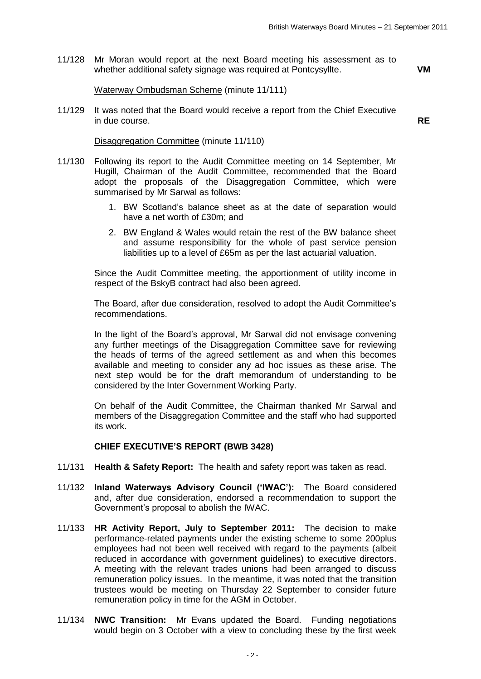11/128 Mr Moran would report at the next Board meeting his assessment as to whether additional safety signage was required at Pontcysyllte. **VM**

#### Waterway Ombudsman Scheme (minute 11/111)

11/129 It was noted that the Board would receive a report from the Chief Executive in due course. **RE**

#### Disaggregation Committee (minute 11/110)

- 11/130 Following its report to the Audit Committee meeting on 14 September, Mr Hugill, Chairman of the Audit Committee, recommended that the Board adopt the proposals of the Disaggregation Committee, which were summarised by Mr Sarwal as follows:
	- 1. BW Scotland's balance sheet as at the date of separation would have a net worth of £30m; and
	- 2. BW England & Wales would retain the rest of the BW balance sheet and assume responsibility for the whole of past service pension liabilities up to a level of £65m as per the last actuarial valuation.

Since the Audit Committee meeting, the apportionment of utility income in respect of the BskyB contract had also been agreed.

The Board, after due consideration, resolved to adopt the Audit Committee's recommendations.

In the light of the Board's approval, Mr Sarwal did not envisage convening any further meetings of the Disaggregation Committee save for reviewing the heads of terms of the agreed settlement as and when this becomes available and meeting to consider any ad hoc issues as these arise. The next step would be for the draft memorandum of understanding to be considered by the Inter Government Working Party.

On behalf of the Audit Committee, the Chairman thanked Mr Sarwal and members of the Disaggregation Committee and the staff who had supported its work.

#### **CHIEF EXECUTIVE'S REPORT (BWB 3428)**

- 11/131 **Health & Safety Report:** The health and safety report was taken as read.
- 11/132 **Inland Waterways Advisory Council ('IWAC'):** The Board considered and, after due consideration, endorsed a recommendation to support the Government's proposal to abolish the IWAC.
- 11/133 **HR Activity Report, July to September 2011:** The decision to make performance-related payments under the existing scheme to some 200plus employees had not been well received with regard to the payments (albeit reduced in accordance with government guidelines) to executive directors. A meeting with the relevant trades unions had been arranged to discuss remuneration policy issues. In the meantime, it was noted that the transition trustees would be meeting on Thursday 22 September to consider future remuneration policy in time for the AGM in October.
- 11/134 **NWC Transition:** Mr Evans updated the Board. Funding negotiations would begin on 3 October with a view to concluding these by the first week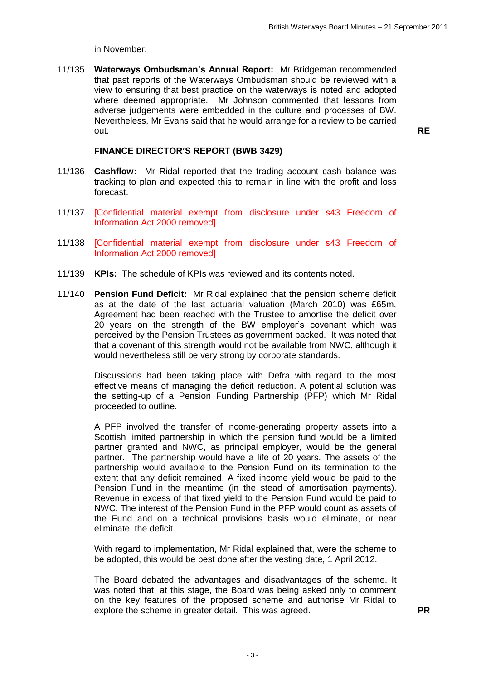in November.

11/135 **Waterways Ombudsman's Annual Report:** Mr Bridgeman recommended that past reports of the Waterways Ombudsman should be reviewed with a view to ensuring that best practice on the waterways is noted and adopted where deemed appropriate. Mr Johnson commented that lessons from adverse judgements were embedded in the culture and processes of BW. Nevertheless, Mr Evans said that he would arrange for a review to be carried out. **RE**

## **FINANCE DIRECTOR'S REPORT (BWB 3429)**

- 11/136 **Cashflow:** Mr Ridal reported that the trading account cash balance was tracking to plan and expected this to remain in line with the profit and loss forecast.
- 11/137 [Confidential material exempt from disclosure under s43 Freedom of Information Act 2000 removed]
- 11/138 [Confidential material exempt from disclosure under s43 Freedom of Information Act 2000 removed]
- 11/139 **KPIs:** The schedule of KPIs was reviewed and its contents noted.
- 11/140 **Pension Fund Deficit:** Mr Ridal explained that the pension scheme deficit as at the date of the last actuarial valuation (March 2010) was £65m. Agreement had been reached with the Trustee to amortise the deficit over 20 years on the strength of the BW employer's covenant which was perceived by the Pension Trustees as government backed. It was noted that that a covenant of this strength would not be available from NWC, although it would nevertheless still be very strong by corporate standards.

Discussions had been taking place with Defra with regard to the most effective means of managing the deficit reduction. A potential solution was the setting-up of a Pension Funding Partnership (PFP) which Mr Ridal proceeded to outline.

A PFP involved the transfer of income-generating property assets into a Scottish limited partnership in which the pension fund would be a limited partner granted and NWC, as principal employer, would be the general partner. The partnership would have a life of 20 years. The assets of the partnership would available to the Pension Fund on its termination to the extent that any deficit remained. A fixed income yield would be paid to the Pension Fund in the meantime (in the stead of amortisation payments). Revenue in excess of that fixed yield to the Pension Fund would be paid to NWC. The interest of the Pension Fund in the PFP would count as assets of the Fund and on a technical provisions basis would eliminate, or near eliminate, the deficit.

With regard to implementation. Mr Ridal explained that, were the scheme to be adopted, this would be best done after the vesting date, 1 April 2012.

The Board debated the advantages and disadvantages of the scheme. It was noted that, at this stage, the Board was being asked only to comment on the key features of the proposed scheme and authorise Mr Ridal to explore the scheme in greater detail. This was agreed. **PR**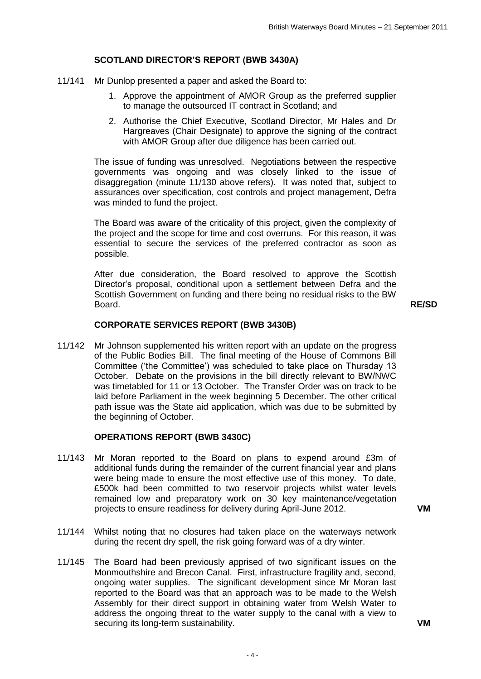# **SCOTLAND DIRECTOR'S REPORT (BWB 3430A)**

- 11/141 Mr Dunlop presented a paper and asked the Board to:
	- 1. Approve the appointment of AMOR Group as the preferred supplier to manage the outsourced IT contract in Scotland; and
	- 2. Authorise the Chief Executive, Scotland Director, Mr Hales and Dr Hargreaves (Chair Designate) to approve the signing of the contract with AMOR Group after due diligence has been carried out.

The issue of funding was unresolved. Negotiations between the respective governments was ongoing and was closely linked to the issue of disaggregation (minute 11/130 above refers). It was noted that, subject to assurances over specification, cost controls and project management, Defra was minded to fund the project.

The Board was aware of the criticality of this project, given the complexity of the project and the scope for time and cost overruns. For this reason, it was essential to secure the services of the preferred contractor as soon as possible.

After due consideration, the Board resolved to approve the Scottish Director's proposal, conditional upon a settlement between Defra and the Scottish Government on funding and there being no residual risks to the BW Board. **RE/SD**

## **CORPORATE SERVICES REPORT (BWB 3430B)**

11/142 Mr Johnson supplemented his written report with an update on the progress of the Public Bodies Bill. The final meeting of the House of Commons Bill Committee ('the Committee') was scheduled to take place on Thursday 13 October. Debate on the provisions in the bill directly relevant to BW/NWC was timetabled for 11 or 13 October. The Transfer Order was on track to be laid before Parliament in the week beginning 5 December. The other critical path issue was the State aid application, which was due to be submitted by the beginning of October.

## **OPERATIONS REPORT (BWB 3430C)**

- 11/143 Mr Moran reported to the Board on plans to expend around £3m of additional funds during the remainder of the current financial year and plans were being made to ensure the most effective use of this money. To date, £500k had been committed to two reservoir projects whilst water levels remained low and preparatory work on 30 key maintenance/vegetation projects to ensure readiness for delivery during April-June 2012. **VM**
- 11/144 Whilst noting that no closures had taken place on the waterways network during the recent dry spell, the risk going forward was of a dry winter.
- 11/145 The Board had been previously apprised of two significant issues on the Monmouthshire and Brecon Canal. First, infrastructure fragility and, second, ongoing water supplies. The significant development since Mr Moran last reported to the Board was that an approach was to be made to the Welsh Assembly for their direct support in obtaining water from Welsh Water to address the ongoing threat to the water supply to the canal with a view to securing its long-term sustainability. **VM**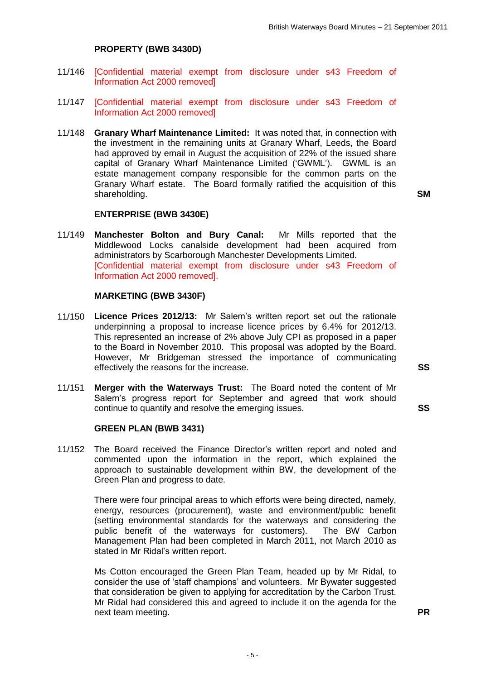## **PROPERTY (BWB 3430D)**

- 11/146 [Confidential material exempt from disclosure under s43 Freedom of Information Act 2000 removed]
- 11/147 [Confidential material exempt from disclosure under s43 Freedom of Information Act 2000 removed]
- 11/148 **Granary Wharf Maintenance Limited:** It was noted that, in connection with the investment in the remaining units at Granary Wharf, Leeds, the Board had approved by email in August the acquisition of 22% of the issued share capital of Granary Wharf Maintenance Limited ('GWML'). GWML is an estate management company responsible for the common parts on the Granary Wharf estate. The Board formally ratified the acquisition of this shareholding. **SM**

#### **ENTERPRISE (BWB 3430E)**

11/149 **Manchester Bolton and Bury Canal:** Mr Mills reported that the Middlewood Locks canalside development had been acquired from administrators by Scarborough Manchester Developments Limited. [Confidential material exempt from disclosure under s43 Freedom of Information Act 2000 removed].

#### **MARKETING (BWB 3430F)**

- 11/150 **Licence Prices 2012/13:** Mr Salem's written report set out the rationale underpinning a proposal to increase licence prices by 6.4% for 2012/13. This represented an increase of 2% above July CPI as proposed in a paper to the Board in November 2010. This proposal was adopted by the Board. However, Mr Bridgeman stressed the importance of communicating effectively the reasons for the increase. **SS**
- 11/151 **Merger with the Waterways Trust:** The Board noted the content of Mr Salem's progress report for September and agreed that work should continue to quantify and resolve the emerging issues. **SS**

## **GREEN PLAN (BWB 3431)**

11/152 The Board received the Finance Director's written report and noted and commented upon the information in the report, which explained the approach to sustainable development within BW, the development of the Green Plan and progress to date.

> There were four principal areas to which efforts were being directed, namely, energy, resources (procurement), waste and environment/public benefit (setting environmental standards for the waterways and considering the public benefit of the waterways for customers). The BW Carbon Management Plan had been completed in March 2011, not March 2010 as stated in Mr Ridal's written report.

Ms Cotton encouraged the Green Plan Team, headed up by Mr Ridal, to consider the use of 'staff champions' and volunteers. Mr Bywater suggested that consideration be given to applying for accreditation by the Carbon Trust. Mr Ridal had considered this and agreed to include it on the agenda for the next team meeting. **PR**